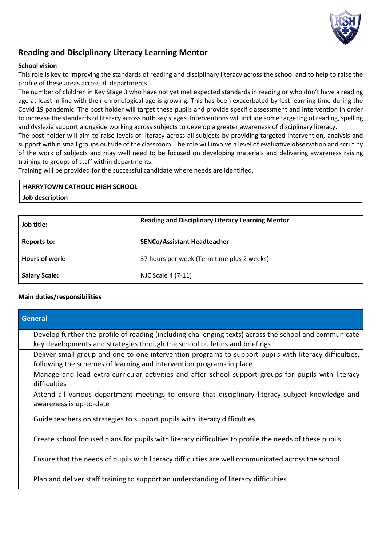

## **Reading and Disciplinary Literacy Learning Mentor**

### **School vision**

This role is key to improving the standards of reading and disciplinary literacy across the school and to help to raise the profile of these areas across all departments.

The number of children in Key Stage 3 who have not yet met expected standards in reading or who don't have a reading age at least in line with their chronological age is growing. This has been exacerbated by lost learning time during the Covid 19 pandemic. The post holder will target these pupils and provide specific assessment and intervention in order to increase the standards of literacy across both key stages. Interventions will include some targeting of reading, spelling and dyslexia support alongside working across subjects to develop a greater awareness of disciplinary literacy.

The post holder will aim to raise levels of literacy across all subjects by providing targeted intervention, analysis and support within small groups outside of the classroom. The role will involve a level of evaluative observation and scrutiny of the work of subjects and may well need to be focused on developing materials and delivering awareness raising training to groups of staff within departments.

Training will be provided for the successful candidate where needs are identified.

# **HARRYTOWN CATHOLIC HIGH SCHOOL**

## **Job description**

| Job title:           | <b>Reading and Disciplinary Literacy Learning Mentor</b> |
|----------------------|----------------------------------------------------------|
| Reports to:          | <b>SENCo/Assistant Headteacher</b>                       |
| Hours of work:       | 37 hours per week (Term time plus 2 weeks)               |
| <b>Salary Scale:</b> | NJC Scale 4 (7-11)                                       |

#### **Main duties/responsibilities**

| <b>General</b>                                                                                                                                                                       |
|--------------------------------------------------------------------------------------------------------------------------------------------------------------------------------------|
| Develop further the profile of reading (including challenging texts) across the school and communicate<br>key developments and strategies through the school bulletins and briefings |
| Deliver small group and one to one intervention programs to support pupils with literacy difficulties,<br>following the schemes of learning and intervention programs in place       |
| Manage and lead extra-curricular activities and after school support groups for pupils with literacy<br>difficulties                                                                 |
| Attend all various department meetings to ensure that disciplinary literacy subject knowledge and<br>awareness is up-to-date                                                         |
| Guide teachers on strategies to support pupils with literacy difficulties                                                                                                            |
| Create school focused plans for pupils with literacy difficulties to profile the needs of these pupils                                                                               |
| Ensure that the needs of pupils with literacy difficulties are well communicated across the school                                                                                   |
| Plan and deliver staff training to support an understanding of literacy difficulties                                                                                                 |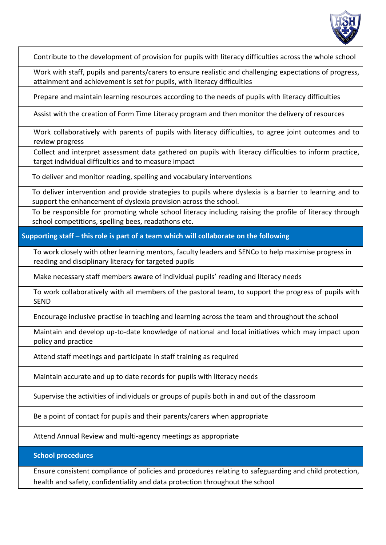

Contribute to the development of provision for pupils with literacy difficulties across the whole school

Work with staff, pupils and parents/carers to ensure realistic and challenging expectations of progress, attainment and achievement is set for pupils, with literacy difficulties

Prepare and maintain learning resources according to the needs of pupils with literacy difficulties

Assist with the creation of Form Time Literacy program and then monitor the delivery of resources

Work collaboratively with parents of pupils with literacy difficulties, to agree joint outcomes and to review progress

Collect and interpret assessment data gathered on pupils with literacy difficulties to inform practice, target individual difficulties and to measure impact

To deliver and monitor reading, spelling and vocabulary interventions

To deliver intervention and provide strategies to pupils where dyslexia is a barrier to learning and to support the enhancement of dyslexia provision across the school.

To be responsible for promoting whole school literacy including raising the profile of literacy through school competitions, spelling bees, readathons etc.

**Supporting staff – this role is part of a team which will collaborate on the following**

To work closely with other learning mentors, faculty leaders and SENCo to help maximise progress in reading and disciplinary literacy for targeted pupils

Make necessary staff members aware of individual pupils' reading and literacy needs

To work collaboratively with all members of the pastoral team, to support the progress of pupils with SEND

Encourage inclusive practise in teaching and learning across the team and throughout the school

Maintain and develop up-to-date knowledge of national and local initiatives which may impact upon policy and practice

Attend staff meetings and participate in staff training as required

Maintain accurate and up to date records for pupils with literacy needs

Supervise the activities of individuals or groups of pupils both in and out of the classroom

Be a point of contact for pupils and their parents/carers when appropriate

Attend Annual Review and multi-agency meetings as appropriate

**School procedures**

Ensure consistent compliance of policies and procedures relating to safeguarding and child protection, health and safety, confidentiality and data protection throughout the school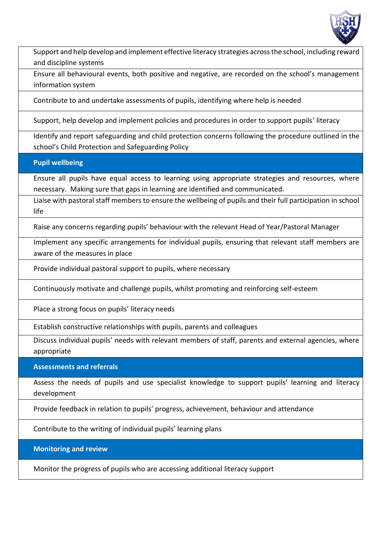

Support and help develop and implement effective literacy strategies across the school, including reward and discipline systems

Ensure all behavioural events, both positive and negative, are recorded on the school's management information system

Contribute to and undertake assessments of pupils, identifying where help is needed

Support, help develop and implement policies and procedures in order to support pupils' literacy

Identify and report safeguarding and child protection concerns following the procedure outlined in the school's Child Protection and Safeguarding Policy

**Pupil wellbeing**

Ensure all pupils have equal access to learning using appropriate strategies and resources, where necessary. Making sure that gaps in learning are identified and communicated.

Liaise with pastoral staff members to ensure the wellbeing of pupils and their full participation in school life

Raise any concerns regarding pupils' behaviour with the relevant Head of Year/Pastoral Manager

Implement any specific arrangements for individual pupils, ensuring that relevant staff members are aware of the measures in place

Provide individual pastoral support to pupils, where necessary

Continuously motivate and challenge pupils, whilst promoting and reinforcing self-esteem

Place a strong focus on pupils' literacy needs

Establish constructive relationships with pupils, parents and colleagues

Discuss individual pupils' needs with relevant members of staff, parents and external agencies, where appropriate

**Assessments and referrals**

Assess the needs of pupils and use specialist knowledge to support pupils' learning and literacy development

Provide feedback in relation to pupils' progress, achievement, behaviour and attendance

Contribute to the writing of individual pupils' learning plans

**Monitoring and review**

Monitor the progress of pupils who are accessing additional literacy support